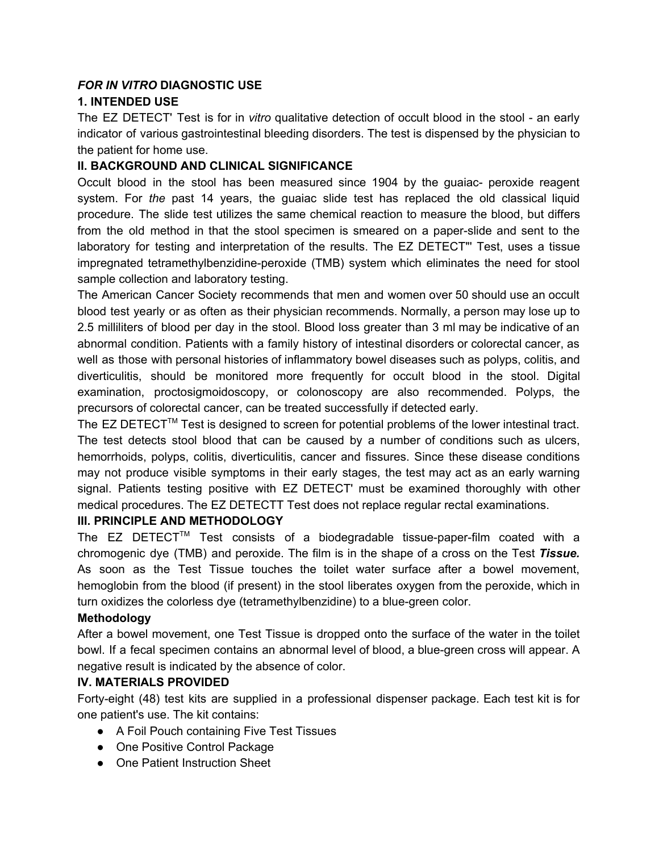### *FOR IN VITRO* **DIAGNOSTIC USE**

### **1. INTENDED USE**

The EZ DETECT' Test is for in *vitro* qualitative detection of occult blood in the stool an early indicator of various gastrointestinal bleeding disorders. The test is dispensed by the physician to the patient for home use.

### **II. BACKGROUND AND CLINICAL SIGNIFICANCE**

Occult blood in the stool has been measured since 1904 by the guaiac- peroxide reagent system. For *the* past 14 years, the guaiac slide test has replaced the old classical liquid procedure. The slide test utilizes the same chemical reaction to measure the blood, but differs from the old method in that the stool specimen is smeared on a paper-slide and sent to the laboratory for testing and interpretation of the results. The EZ DETECT"' Test, uses a tissue impregnated tetramethylbenzidine-peroxide (TMB) system which eliminates the need for stool sample collection and laboratory testing.

The American Cancer Society recommends that men and women over 50 should use an occult blood test yearly or as often as their physician recommends. Normally, a person may lose up to 2.5 milliliters of blood per day in the stool. Blood loss greater than 3 ml may be indicative of an abnormal condition. Patients with a family history of intestinal disorders or colorectal cancer, as well as those with personal histories of inflammatory bowel diseases such as polyps, colitis, and diverticulitis, should be monitored more frequently for occult blood in the stool. Digital examination, proctosigmoidoscopy, or colonoscopy are also recommended. Polyps, the precursors of colorectal cancer, can be treated successfully if detected early.

The EZ DETECT<sup>™</sup> Test is designed to screen for potential problems of the lower intestinal tract. The test detects stool blood that can be caused by a number of conditions such as ulcers, hemorrhoids, polyps, colitis, diverticulitis, cancer and fissures. Since these disease conditions may not produce visible symptoms in their early stages, the test may act as an early warning signal. Patients testing positive with EZ DETECT' must be examined thoroughly with other medical procedures. The EZ DETECTT Test does not replace regular rectal examinations.

#### **III. PRINCIPLE AND METHODOLOGY**

The  $EZ$  DETECT<sup>™</sup> Test consists of a biodegradable tissue-paper-film coated with a chromogenic dye (TMB) and peroxide. The film is in the shape of a cross on the Test *Tissue.* As soon as the Test Tissue touches the toilet water surface after a bowel movement, hemoglobin from the blood (if present) in the stool liberates oxygen from the peroxide, which in turn oxidizes the colorless dye (tetramethylbenzidine) to a blue-green color.

#### **Methodology**

After a bowel movement, one Test Tissue is dropped onto the surface of the water in the toilet bowl. If a fecal specimen contains an abnormal level of blood, a blue-green cross will appear. A negative result is indicated by the absence of color.

#### **IV.MATERIALS PROVIDED**

Fortyeight (48) test kits are supplied in a professional dispenser package. Each test kit is for one patient's use. The kit contains:

- A Foil Pouch containing Five Test Tissues
- One Positive Control Package
- One Patient Instruction Sheet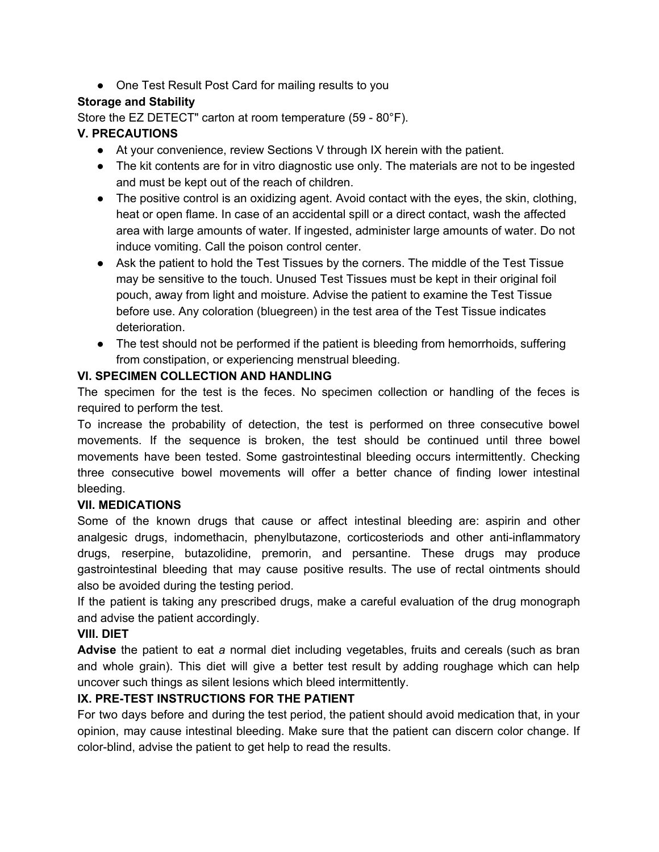● One Test Result Post Card for mailing results to you

## **Storage and Stability**

Store the EZ DETECT" carton at room temperature (59 - 80°F).

## **V. PRECAUTIONS**

- At your convenience, review Sections V through IX herein with the patient.
- The kit contents are for in vitro diagnostic use only. The materials are not to be ingested and must be kept out of the reach of children.
- The positive control is an oxidizing agent. Avoid contact with the eyes, the skin, clothing, heat or open flame. In case of an accidental spill or a direct contact, wash the affected area with large amounts of water. If ingested, administer large amounts of water. Do not induce vomiting. Call the poison control center.
- Ask the patient to hold the Test Tissues by the corners. The middle of the Test Tissue may be sensitive to the touch. Unused Test Tissues must be kept in their original foil pouch, away from light and moisture. Advise the patient to examine the Test Tissue before use. Any coloration (bluegreen) in the test area of the Test Tissue indicates deterioration.
- The test should not be performed if the patient is bleeding from hemorrhoids, suffering from constipation, or experiencing menstrual bleeding.

## **VI. SPECIMEN COLLECTION AND HANDLING**

The specimen for the test is the feces. No specimen collection or handling of the feces is required to perform the test.

To increase the probability of detection, the test is performed on three consecutive bowel movements. If the sequence is broken, the test should be continued until three bowel movements have been tested. Some gastrointestinal bleeding occurs intermittently. Checking three consecutive bowel movements will offer a better chance of finding lower intestinal bleeding.

#### **VII. MEDICATIONS**

Some of the known drugs that cause or affect intestinal bleeding are: aspirin and other analgesic drugs, indomethacin, phenylbutazone, corticosteriods and other anti-inflammatory drugs, reserpine, butazolidine, premorin, and persantine. These drugs may produce gastrointestinal bleeding that may cause positive results. The use of rectal ointments should also be avoided during the testing period.

If the patient is taking any prescribed drugs, make a careful evaluation of the drug monograph and advise the patient accordingly.

# **VIII. DIET**

**Advise** the patient to eat *a* normal diet including vegetables, fruits and cereals (such as bran and whole grain). This diet will give a better test result by adding roughage which can help uncover such things as silent lesions which bleed intermittently.

#### **IX. PRE-TEST INSTRUCTIONS FOR THE PATIENT**

For two days before and during the test period, the patient should avoid medication that, in your opinion, may cause intestinal bleeding. Make sure that the patient can discern color change. If color-blind, advise the patient to get help to read the results.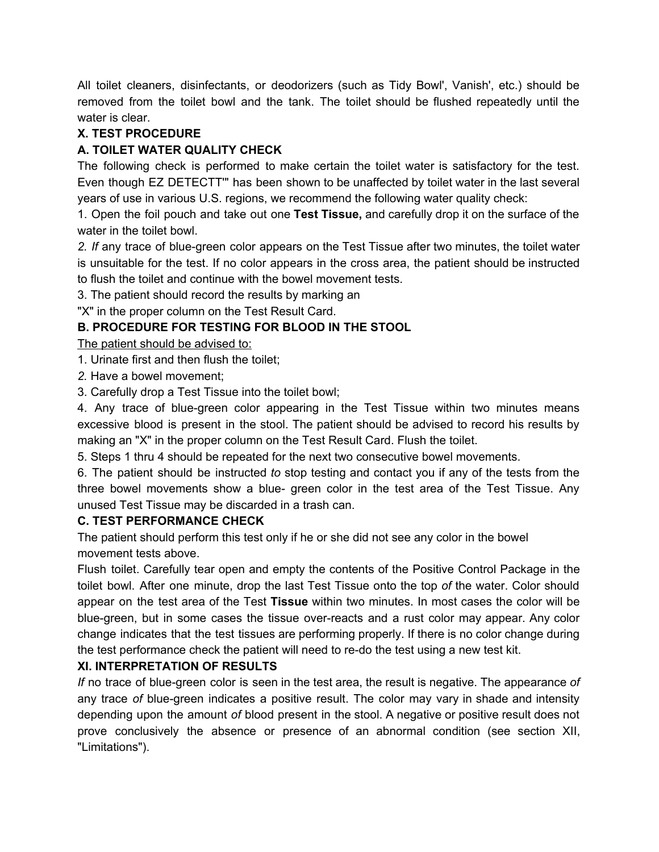All toilet cleaners, disinfectants, or deodorizers (such as Tidy Bowl', Vanish', etc.) should be removed from the toilet bowl and the tank. The toilet should be flushed repeatedly until the water is clear.

#### **X. TEST PROCEDURE**

## **A. TOILET WATER QUALITY CHECK**

The following check is performed to make certain the toilet water is satisfactory for the test. Even though EZ DETECTT'" has been shown to be unaffected by toilet water in the last several years of use in various U.S. regions, we recommend the following water quality check:

1. Open the foil pouch and take out one **Test Tissue,** and carefully drop it on the surface of the water in the toilet bowl.

2. If any trace of blue-green color appears on the Test Tissue after two minutes, the toilet water is unsuitable for the test. If no color appears in the cross area, the patient should be instructed to flush the toilet and continue with the bowel movement tests.

3. The patient should record the results by marking an

"X" in the proper column on the Test Result Card.

# **B. PROCEDURE FOR TESTING FOR BLOOD IN THE STOOL**

The patient should be advised to:

1. Urinate first and then flush the toilet;

*2.* Have a bowel movement;

3. Carefully drop a Test Tissue into the toilet bowl;

4. Any trace of blue-green color appearing in the Test Tissue within two minutes means excessive blood is present in the stool. The patient should be advised to record his results by making an "X" in the proper column on the Test Result Card. Flush the toilet.

5. Steps 1 thru 4 should be repeated for the next two consecutive bowel movements.

6. The patient should be instructed *to* stop testing and contact you if any of the tests from the three bowel movements show a blue- green color in the test area of the Test Tissue. Any unused Test Tissue may be discarded in a trash can.

#### **C. TEST PERFORMANCE CHECK**

The patient should perform this test only if he or she did not see any color in the bowel movement tests above.

Flush toilet. Carefully tear open and empty the contents of the Positive Control Package in the toilet bowl. After one minute, drop the last Test Tissue onto the top *of* the water. Color should appear on the test area of the Test **Tissue** within two minutes. In most cases the color will be blue-green, but in some cases the tissue over-reacts and a rust color may appear. Any color change indicates that the test tissues are performing properly. If there is no color change during the test performance check the patient will need to re-do the test using a new test kit.

# **XI. INTERPRETATION OF RESULTS**

*If* no trace of blue-green color is seen in the test area, the result is negative. The appearance of any trace of blue-green indicates a positive result. The color may vary in shade and intensity depending upon the amount *of* blood present in the stool. A negative or positive result does not prove conclusively the absence or presence of an abnormal condition (see section XII, "Limitations").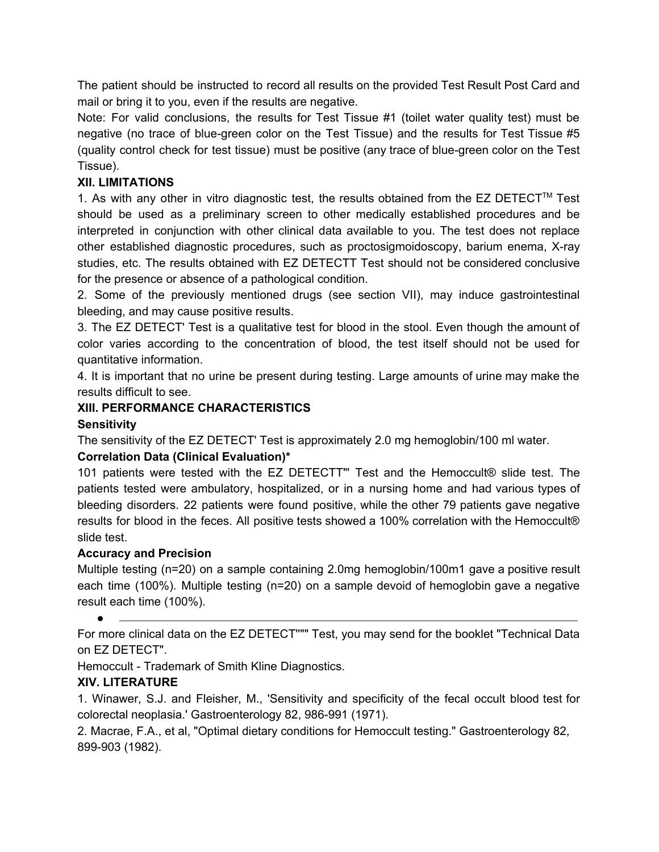The patient should be instructed to record all results on the provided Test Result Post Card and mail or bring it to you, even if the results are negative.

Note: For valid conclusions, the results for Test Tissue #1 (toilet water quality test) must be hegative (no trace of blue-green color on the Test Tissue) and the results for Test Tissue #5 (quality control check for test tissue) must be positive (any trace of blue-green color on the Test Tissue).

## **XII. LIMITATIONS**

1. As with any other in vitro diagnostic test, the results obtained from the EZ DETECT<sup>™</sup> Test should be used as a preliminary screen to other medically established procedures and be interpreted in conjunction with other clinical data available to you. The test does not replace other established diagnostic procedures, such as proctosigmoidoscopy, barium enema, Xray studies, etc. The results obtained with EZ DETECTT Test should not be considered conclusive for the presence or absence of a pathological condition.

2. Some of the previously mentioned drugs (see section VII), may induce gastrointestinal bleeding, and may cause positive results.

3. The EZ DETECT' Test is a qualitative test for blood in the stool. Even though the amount of color varies according to the concentration of blood, the test itself should not be used for quantitative information.

4. It is important that no urine be present during testing. Large amounts of urine may make the results difficult to see.

#### **XIII. PERFORMANCE CHARACTERISTICS**

### **Sensitivity**

The sensitivity of the EZ DETECT' Test is approximately 2.0 mg hemoglobin/100 ml water.

#### **Correlation Data (Clinical Evaluation)\***

101 patients were tested with the EZ DETECTT"' Test and the Hemoccult® slide test. The patients tested were ambulatory, hospitalized, or in a nursing home and had various types of bleeding disorders. 22 patients were found positive, while the other 79 patients gave negative results for blood in the feces. All positive tests showed a 100% correlation with the Hemoccult® slide test.

#### **Accuracy and Precision**

Multiple testing (n=20) on a sample containing 2.0mg hemoglobin/100m1 gave a positive result each time (100%). Multiple testing (n=20) on a sample devoid of hemoglobin gave a negative result each time (100%).

For more clinical data on the EZ DETECT''"" Test, you may send for the booklet "Technical Data on EZ DETECT".

Hemoccult - Trademark of Smith Kline Diagnostics.

# **XIV. LITERATURE**

 $\bullet$ 

1. Winawer, S.J. and Fleisher, M., 'Sensitivity and specificity of the fecal occult blood test for colorectal neoplasia.' Gastroenterology 82, 986-991 (1971).

2. Macrae, F.A., et al, "Optimal dietary conditions for Hemoccult testing." Gastroenterology 82, 899903 (1982).